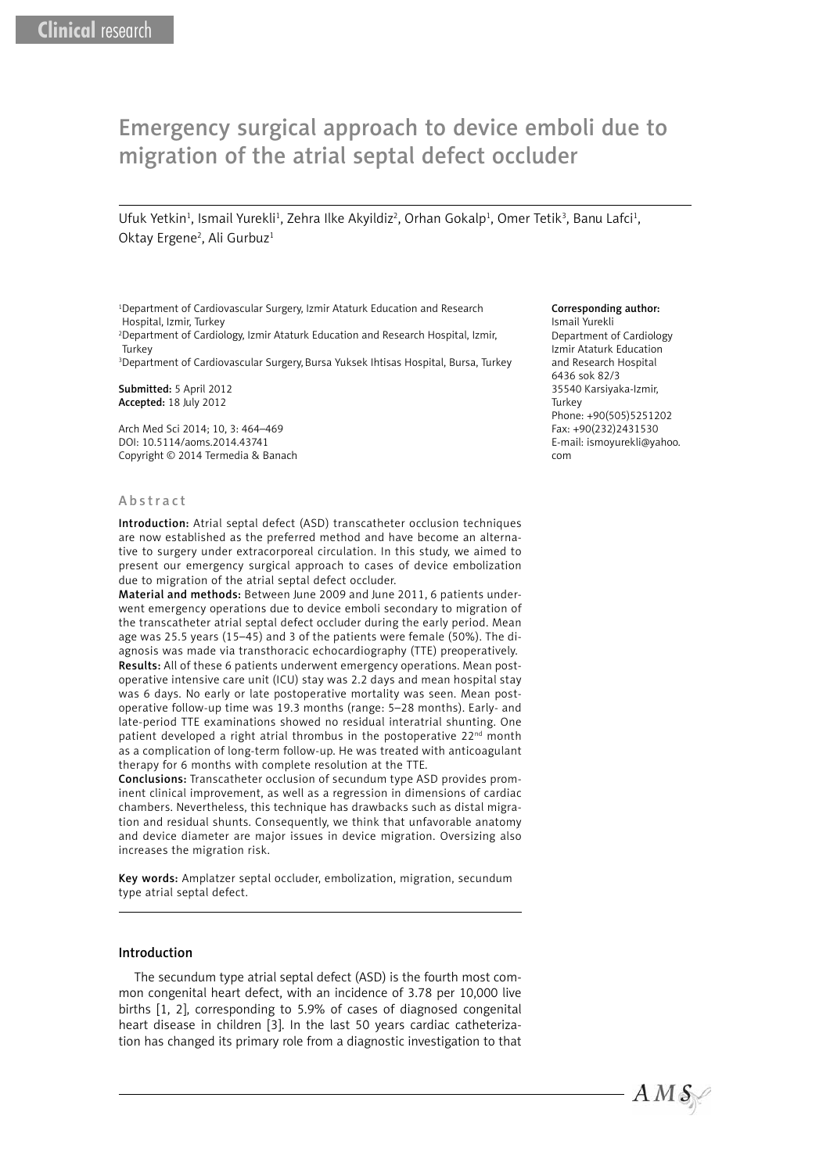# Emergency surgical approach to device emboli due to migration of the atrial septal defect occluder

Ufuk Yetkin<sup>1</sup>, Ismail Yurekli<sup>1</sup>, Zehra Ilke Akyildiz<sup>2</sup>, Orhan Gokalp<sup>1</sup>, Omer Tetik<sup>3</sup>, Banu Lafci<sup>1</sup>, Oktay Ergene<sup>2</sup>, Ali Gurbuz<sup>1</sup>

<sup>1</sup>Department of Cardiovascular Surgery, Izmir Ataturk Education and Research Hospital, Izmir, Turkey

2 Department of Cardiology, Izmir Ataturk Education and Research Hospital, Izmir, **Turkey** 

3 Department of Cardiovascular Surgery, Bursa Yuksek Ihtisas Hospital, Bursa, Turkey

Submitted: 5 April 2012 Accepted: 18 July 2012

Arch Med Sci 2014; 10, 3: 464–469 DOI: 10.5114/aoms.2014.43741 Copyright © 2014 Termedia & Banach

# Corresponding author:

Ismail Yurekli Department of Cardiology Izmir Ataturk Education and Research Hospital 6436 sok 82/3 35540 Karsiyaka-Izmir, Turkey Phone: +90(505)5251202 Fax: +90(232)2431530 E-mail: ismoyurekli@yahoo. com

#### Abstract

Introduction: Atrial septal defect (ASD) transcatheter occlusion techniques are now established as the preferred method and have become an alternative to surgery under extracorporeal circulation. In this study, we aimed to present our emergency surgical approach to cases of device embolization due to migration of the atrial septal defect occluder.

Material and methods: Between June 2009 and June 2011, 6 patients underwent emergency operations due to device emboli secondary to migration of the transcatheter atrial septal defect occluder during the early period. Mean age was 25.5 years (15–45) and 3 of the patients were female (50%). The diagnosis was made via transthoracic echocardiography (TTE) preoperatively. Results: All of these 6 patients underwent emergency operations. Mean postoperative intensive care unit (ICU) stay was 2.2 days and mean hospital stay was 6 days. No early or late postoperative mortality was seen. Mean postoperative follow-up time was 19.3 months (range: 5–28 months). Early- and late-period TTE examinations showed no residual interatrial shunting. One patient developed a right atrial thrombus in the postoperative 22<sup>nd</sup> month as a complication of long-term follow-up. He was treated with anticoagulant therapy for 6 months with complete resolution at the TTE.

Conclusions: Transcatheter occlusion of secundum type ASD provides prominent clinical improvement, as well as a regression in dimensions of cardiac chambers. Nevertheless, this technique has drawbacks such as distal migration and residual shunts. Consequently, we think that unfavorable anatomy and device diameter are major issues in device migration. Oversizing also increases the migration risk.

Key words: Amplatzer septal occluder, embolization, migration, secundum type atrial septal defect.

## Introduction

The secundum type atrial septal defect (ASD) is the fourth most common congenital heart defect, with an incidence of 3.78 per 10,000 live births [1, 2], corresponding to 5.9% of cases of diagnosed congenital heart disease in children [3]. In the last 50 years cardiac catheterization has changed its primary role from a diagnostic investigation to that

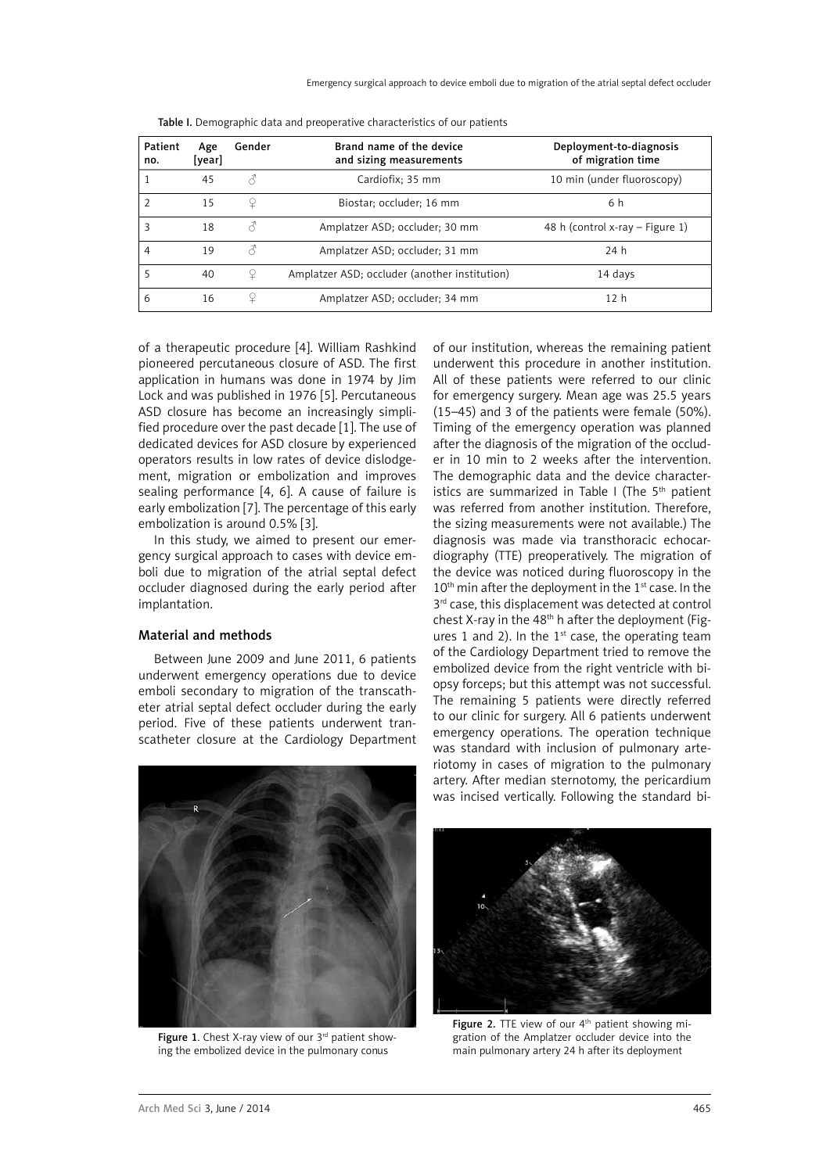| Patient<br>no. | Age<br>[year] | Gender        | Brand name of the device<br>and sizing measurements | Deployment-to-diagnosis<br>of migration time |
|----------------|---------------|---------------|-----------------------------------------------------|----------------------------------------------|
|                | 45            | $\mathcal{E}$ | Cardiofix; 35 mm                                    | 10 min (under fluoroscopy)                   |
| $\overline{2}$ | 15            | ¥             | Biostar; occluder; 16 mm                            | 6 h                                          |
| 3              | 18            | 3             | Amplatzer ASD; occluder; 30 mm                      | 48 h (control x-ray – Figure 1)              |
| 4              | 19            | Â             | Amplatzer ASD; occluder; 31 mm                      | 24 h                                         |
| 5              | 40            | ¥             | Amplatzer ASD; occluder (another institution)       | 14 days                                      |
| 6              | 16            | ¥             | Amplatzer ASD; occluder; 34 mm                      | 12 <sub>h</sub>                              |

|  | Table I. Demographic data and preoperative characteristics of our patients |  |
|--|----------------------------------------------------------------------------|--|
|--|----------------------------------------------------------------------------|--|

of a therapeutic procedure [4]. William Rashkind pioneered percutaneous closure of ASD. The first application in humans was done in 1974 by Jim Lock and was published in 1976 [5]. Percutaneous ASD closure has become an increasingly simplified procedure over the past decade [1]. The use of dedicated devices for ASD closure by experienced operators results in low rates of device dislodgement, migration or embolization and improves sealing performance [4, 6]. A cause of failure is early embolization [7]. The percentage of this early embolization is around 0.5% [3].

In this study, we aimed to present our emergency surgical approach to cases with device emboli due to migration of the atrial septal defect occluder diagnosed during the early period after implantation.

# Material and methods

Between June 2009 and June 2011, 6 patients underwent emergency operations due to device emboli secondary to migration of the transcatheter atrial septal defect occluder during the early period. Five of these patients underwent transcatheter closure at the Cardiology Department

of our institution, whereas the remaining patient underwent this procedure in another institution. All of these patients were referred to our clinic for emergency surgery. Mean age was 25.5 years (15–45) and 3 of the patients were female (50%). Timing of the emergency operation was planned after the diagnosis of the migration of the occluder in 10 min to 2 weeks after the intervention. The demographic data and the device characteristics are summarized in Table I (The  $5<sup>th</sup>$  patient was referred from another institution. Therefore, the sizing measurements were not available.) The diagnosis was made via transthoracic echocardiography (TTE) preoperatively. The migration of the device was noticed during fluoroscopy in the  $10<sup>th</sup>$  min after the deployment in the  $1<sup>st</sup>$  case. In the  $3<sup>rd</sup>$  case, this displacement was detected at control chest X-ray in the 48<sup>th</sup> h after the deployment (Figures 1 and 2). In the  $1<sup>st</sup>$  case, the operating team of the Cardiology Department tried to remove the embolized device from the right ventricle with biopsy forceps; but this attempt was not successful. The remaining 5 patients were directly referred to our clinic for surgery. All 6 patients underwent emergency operations. The operation technique was standard with inclusion of pulmonary arteriotomy in cases of migration to the pulmonary artery. After median sternotomy, the pericardium was incised vertically. Following the standard bi-



Figure 1. Chest X-ray view of our  $3<sup>rd</sup>$  patient showing the embolized device in the pulmonary conus



Figure 2. TTE view of our 4<sup>th</sup> patient showing migration of the Amplatzer occluder device into the main pulmonary artery 24 h after its deployment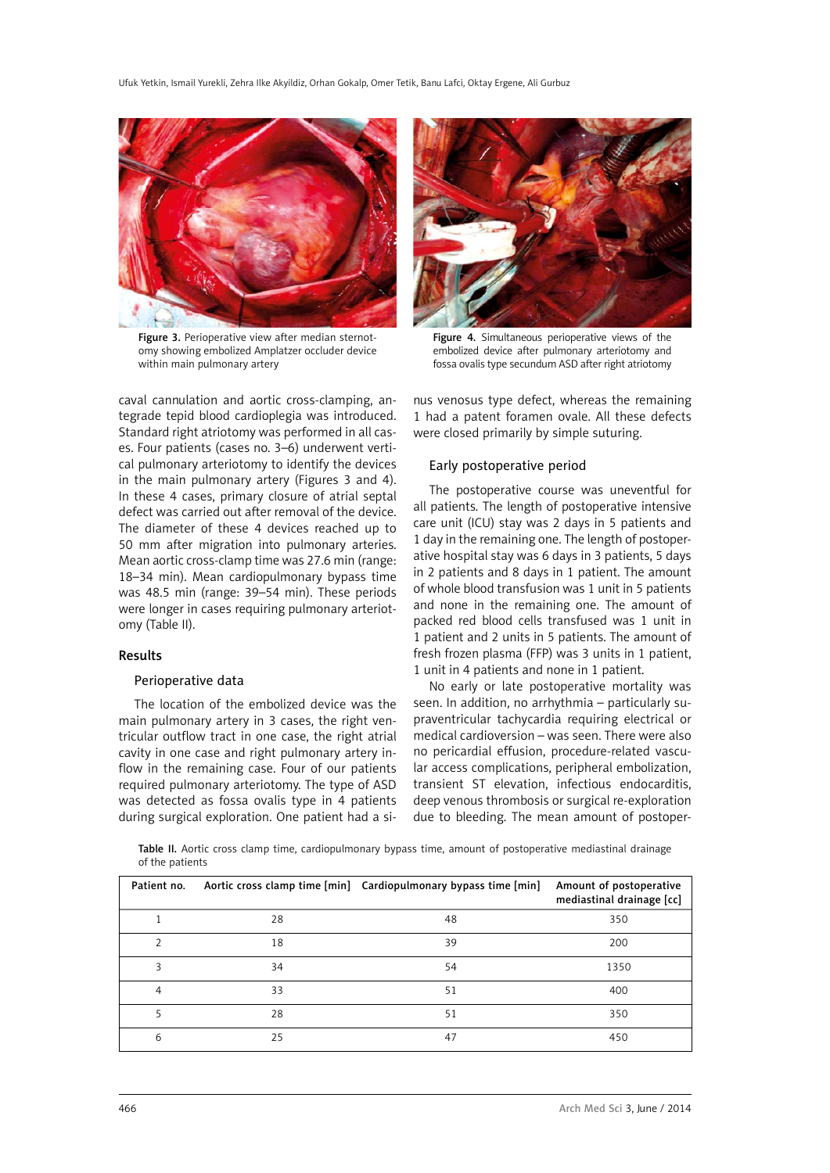

Figure 3. Perioperative view after median sternotomy showing embolized Amplatzer occluder device within main pulmonary artery

caval cannulation and aortic cross-clamping, antegrade tepid blood cardioplegia was introduced. Standard right atriotomy was performed in all cases. Four patients (cases no. 3–6) underwent vertical pulmonary arteriotomy to identify the devices in the main pulmonary artery (Figures 3 and 4). In these 4 cases, primary closure of atrial septal defect was carried out after removal of the device. The diameter of these 4 devices reached up to 50 mm after migration into pulmonary arteries. Mean aortic cross-clamp time was 27.6 min (range: 18–34 min). Mean cardiopulmonary bypass time was 48.5 min (range: 39–54 min). These periods were longer in cases requiring pulmonary arteriotomy (Table II).

#### Results

## Perioperative data

The location of the embolized device was the main pulmonary artery in 3 cases, the right ventricular outflow tract in one case, the right atrial cavity in one case and right pulmonary artery inflow in the remaining case. Four of our patients required pulmonary arteriotomy. The type of ASD was detected as fossa ovalis type in 4 patients during surgical exploration. One patient had a si-



Figure 4. Simultaneous perioperative views of the embolized device after pulmonary arteriotomy and fossa ovalis type secundum ASD after right atriotomy

nus venosus type defect, whereas the remaining 1 had a patent foramen ovale. All these defects were closed primarily by simple suturing.

## Early postoperative period

The postoperative course was uneventful for all patients. The length of postoperative intensive care unit (ICU) stay was 2 days in 5 patients and 1 day in the remaining one. The length of postoperative hospital stay was 6 days in 3 patients, 5 days in 2 patients and 8 days in 1 patient. The amount of whole blood transfusion was 1 unit in 5 patients and none in the remaining one. The amount of packed red blood cells transfused was 1 unit in 1 patient and 2 units in 5 patients. The amount of fresh frozen plasma (FFP) was 3 units in 1 patient, 1 unit in 4 patients and none in 1 patient.

No early or late postoperative mortality was seen. In addition, no arrhythmia – particularly supraventricular tachycardia requiring electrical or medical cardioversion – was seen. There were also no pericardial effusion, procedure-related vascular access complications, peripheral embolization, transient ST elevation, infectious endocarditis, deep venous thrombosis or surgical re-exploration due to bleeding. The mean amount of postoper-

Table II. Aortic cross clamp time, cardiopulmonary bypass time, amount of postoperative mediastinal drainage of the patients

| Patient no. |    | Aortic cross clamp time [min] Cardiopulmonary bypass time [min] | Amount of postoperative<br>mediastinal drainage [cc] |
|-------------|----|-----------------------------------------------------------------|------------------------------------------------------|
|             | 28 | 48                                                              | 350                                                  |
|             | 18 | 39                                                              | 200                                                  |
| ς           | 34 | 54                                                              | 1350                                                 |
| 4           | 33 | 51                                                              | 400                                                  |
|             | 28 | 51                                                              | 350                                                  |
| 6           | 25 | 47                                                              | 450                                                  |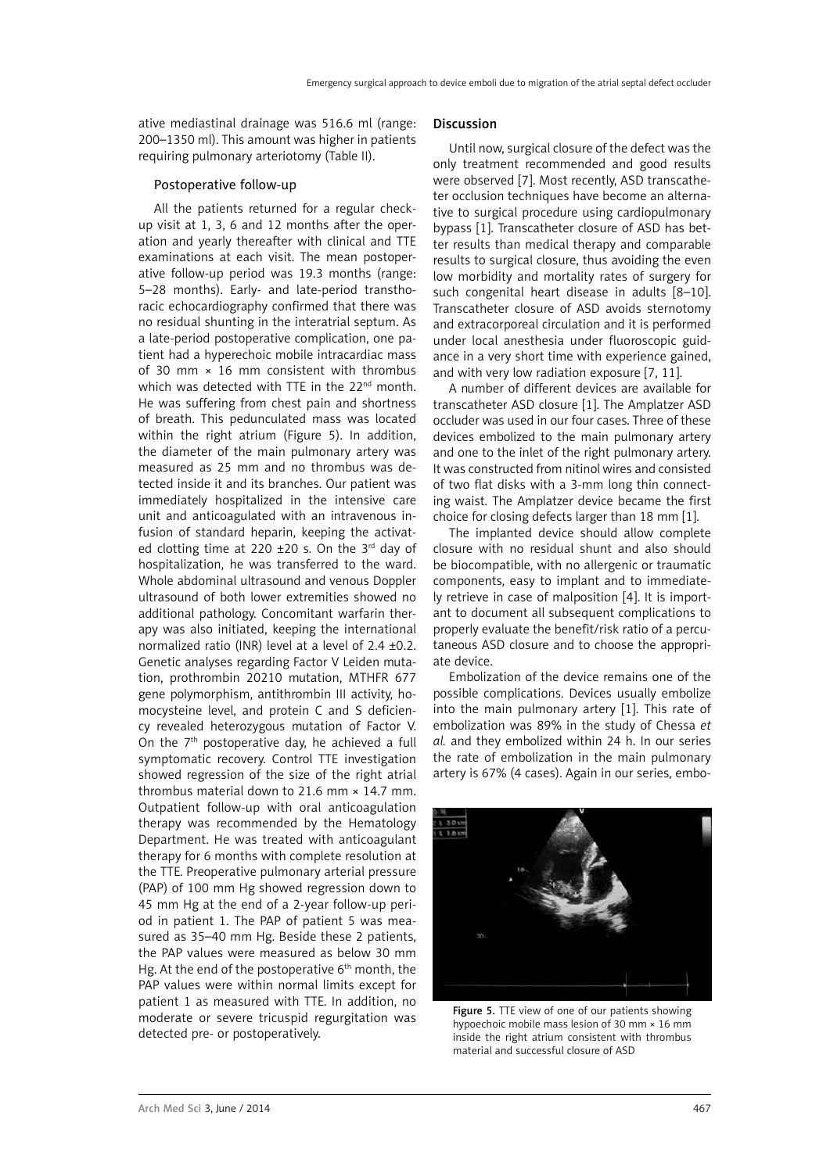ative mediastinal drainage was 516.6 ml (range: 200–1350 ml). This amount was higher in patients requiring pulmonary arteriotomy (Table II).

## Postoperative follow-up

All the patients returned for a regular checkup visit at 1, 3, 6 and 12 months after the operation and yearly thereafter with clinical and TTE examinations at each visit. The mean postoperative follow-up period was 19.3 months (range: 5–28 months). Early- and late-period transthoracic echocardiography confirmed that there was no residual shunting in the interatrial septum. As a late-period postoperative complication, one patient had a hyperechoic mobile intracardiac mass of 30 mm  $\times$  16 mm consistent with thrombus which was detected with TTE in the 22<sup>nd</sup> month. He was suffering from chest pain and shortness of breath. This pedunculated mass was located within the right atrium (Figure 5). In addition, the diameter of the main pulmonary artery was measured as 25 mm and no thrombus was detected inside it and its branches. Our patient was immediately hospitalized in the intensive care unit and anticoagulated with an intravenous infusion of standard heparin, keeping the activated clotting time at 220  $\pm$ 20 s. On the 3<sup>rd</sup> day of hospitalization, he was transferred to the ward. Whole abdominal ultrasound and venous Doppler ultrasound of both lower extremities showed no additional pathology. Concomitant warfarin therapy was also initiated, keeping the international normalized ratio (INR) level at a level of 2.4 ±0.2. Genetic analyses regarding Factor V Leiden mutation, prothrombin 20210 mutation, MTHFR 677 gene polymorphism, antithrombin III activity, homocysteine level, and protein C and S deficiency revealed heterozygous mutation of Factor V. On the  $7<sup>th</sup>$  postoperative day, he achieved a full symptomatic recovery. Control TTE investigation showed regression of the size of the right atrial thrombus material down to 21.6 mm  $\times$  14.7 mm. Outpatient follow-up with oral anticoagulation therapy was recommended by the Hematology Department. He was treated with anticoagulant therapy for 6 months with complete resolution at the TTE. Preoperative pulmonary arterial pressure (PAP) of 100 mm Hg showed regression down to 45 mm Hg at the end of a 2-year follow-up period in patient 1. The PAP of patient 5 was measured as 35–40 mm Hg. Beside these 2 patients, the PAP values were measured as below 30 mm Hg. At the end of the postoperative  $6<sup>th</sup>$  month, the PAP values were within normal limits except for patient 1 as measured with TTE. In addition, no moderate or severe tricuspid regurgitation was detected pre- or postoperatively.

### Discussion

Until now, surgical closure of the defect was the only treatment recommended and good results were observed [7]. Most recently, ASD transcatheter occlusion techniques have become an alternative to surgical procedure using cardiopulmonary bypass [1]. Transcatheter closure of ASD has better results than medical therapy and comparable results to surgical closure, thus avoiding the even low morbidity and mortality rates of surgery for such congenital heart disease in adults [8–10]. Transcatheter closure of ASD avoids sternotomy and extracorporeal circulation and it is performed under local anesthesia under fluoroscopic guidance in a very short time with experience gained, and with very low radiation exposure [7, 11].

A number of different devices are available for transcatheter ASD closure [1]. The Amplatzer ASD occluder was used in our four cases. Three of these devices embolized to the main pulmonary artery and one to the inlet of the right pulmonary artery. It was constructed from nitinol wires and consisted of two flat disks with a 3-mm long thin connecting waist. The Amplatzer device became the first choice for closing defects larger than 18 mm [1].

The implanted device should allow complete closure with no residual shunt and also should be biocompatible, with no allergenic or traumatic components, easy to implant and to immediately retrieve in case of malposition [4]. It is important to document all subsequent complications to properly evaluate the benefit/risk ratio of a percutaneous ASD closure and to choose the appropriate device.

Embolization of the device remains one of the possible complications. Devices usually embolize into the main pulmonary artery [1]. This rate of embolization was 89% in the study of Chessa *et al.* and they embolized within 24 h. In our series the rate of embolization in the main pulmonary artery is 67% (4 cases). Again in our series, embo-



Figure 5. TTE view of one of our patients showing hypoechoic mobile mass lesion of 30 mm × 16 mm inside the right atrium consistent with thrombus material and successful closure of ASD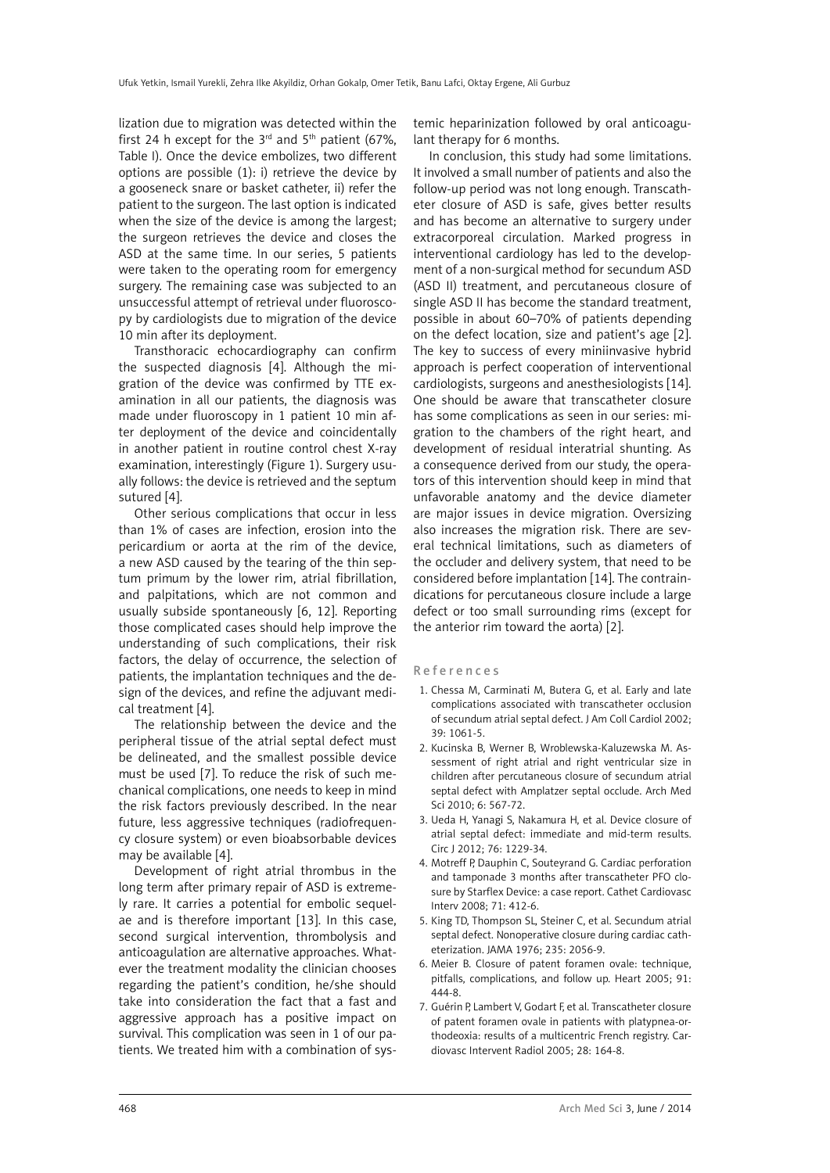lization due to migration was detected within the first 24 h except for the  $3<sup>rd</sup>$  and  $5<sup>th</sup>$  patient (67%, Table I). Once the device embolizes, two different options are possible (1): i) retrieve the device by a gooseneck snare or basket catheter, ii) refer the patient to the surgeon. The last option is indicated when the size of the device is among the largest; the surgeon retrieves the device and closes the ASD at the same time. In our series, 5 patients were taken to the operating room for emergency surgery. The remaining case was subjected to an unsuccessful attempt of retrieval under fluoroscopy by cardiologists due to migration of the device 10 min after its deployment.

Transthoracic echocardiography can confirm the suspected diagnosis [4]. Although the migration of the device was confirmed by TTE examination in all our patients, the diagnosis was made under fluoroscopy in 1 patient 10 min after deployment of the device and coincidentally in another patient in routine control chest X-ray examination, interestingly (Figure 1). Surgery usually follows: the device is retrieved and the septum sutured [4].

Other serious complications that occur in less than 1% of cases are infection, erosion into the pericardium or aorta at the rim of the device, a new ASD caused by the tearing of the thin septum primum by the lower rim, atrial fibrillation, and palpitations, which are not common and usually subside spontaneously [6, 12]. Reporting those complicated cases should help improve the understanding of such complications, their risk factors, the delay of occurrence, the selection of patients, the implantation techniques and the design of the devices, and refine the adjuvant medical treatment [4].

The relationship between the device and the peripheral tissue of the atrial septal defect must be delineated, and the smallest possible device must be used [7]. To reduce the risk of such mechanical complications, one needs to keep in mind the risk factors previously described. In the near future, less aggressive techniques (radiofrequency closure system) or even bioabsorbable devices may be available [4].

Development of right atrial thrombus in the long term after primary repair of ASD is extremely rare. It carries a potential for embolic sequelae and is therefore important [13]. In this case, second surgical intervention, thrombolysis and anticoagulation are alternative approaches. Whatever the treatment modality the clinician chooses regarding the patient's condition, he/she should take into consideration the fact that a fast and aggressive approach has a positive impact on survival. This complication was seen in 1 of our patients. We treated him with a combination of systemic heparinization followed by oral anticoagulant therapy for 6 months.

In conclusion, this study had some limitations. It involved a small number of patients and also the follow-up period was not long enough. Transcatheter closure of ASD is safe, gives better results and has become an alternative to surgery under extracorporeal circulation. Marked progress in interventional cardiology has led to the development of a non-surgical method for secundum ASD (ASD II) treatment, and percutaneous closure of single ASD II has become the standard treatment, possible in about 60–70% of patients depending on the defect location, size and patient's age [2]. The key to success of every miniinvasive hybrid approach is perfect cooperation of interventional cardiologists, surgeons and anesthesiologists [14]. One should be aware that transcatheter closure has some complications as seen in our series: migration to the chambers of the right heart, and development of residual interatrial shunting. As a consequence derived from our study, the operators of this intervention should keep in mind that unfavorable anatomy and the device diameter are major issues in device migration. Oversizing also increases the migration risk. There are several technical limitations, such as diameters of the occluder and delivery system, that need to be considered before implantation [14]. The contraindications for percutaneous closure include a large defect or too small surrounding rims (except for the anterior rim toward the aorta) [2].

#### References

- 1. Chessa M, Carminati M, Butera G, et al. Early and late complications associated with transcatheter occlusion of secundum atrial septal defect. J Am Coll Cardiol 2002; 39: 1061-5.
- 2. Kucinska B, Werner B, Wroblewska-Kaluzewska M. Assessment of right atrial and right ventricular size in children after percutaneous closure of secundum atrial septal defect with Amplatzer septal occlude. Arch Med Sci 2010; 6: 567-72.
- 3. Ueda H, Yanagi S, Nakamura H, et al. Device closure of atrial septal defect: immediate and mid-term results. Circ J 2012; 76: 1229-34.
- 4. Motreff P, Dauphin C, Souteyrand G. Cardiac perforation and tamponade 3 months after transcatheter PFO closure by Starflex Device: a case report. Cathet Cardiovasc Interv 2008; 71: 412-6.
- 5. King TD, Thompson SL, Steiner C, et al. Secundum atrial septal defect. Nonoperative closure during cardiac catheterization. JAMA 1976; 235: 2056-9.
- 6. Meier B. Closure of patent foramen ovale: technique, pitfalls, complications, and follow up. Heart 2005; 91: 444-8.
- 7. Guérin P, Lambert V, Godart F, et al. Transcatheter closure of patent foramen ovale in patients with platypnea-orthodeoxia: results of a multicentric French registry. Cardiovasc Intervent Radiol 2005; 28: 164-8.